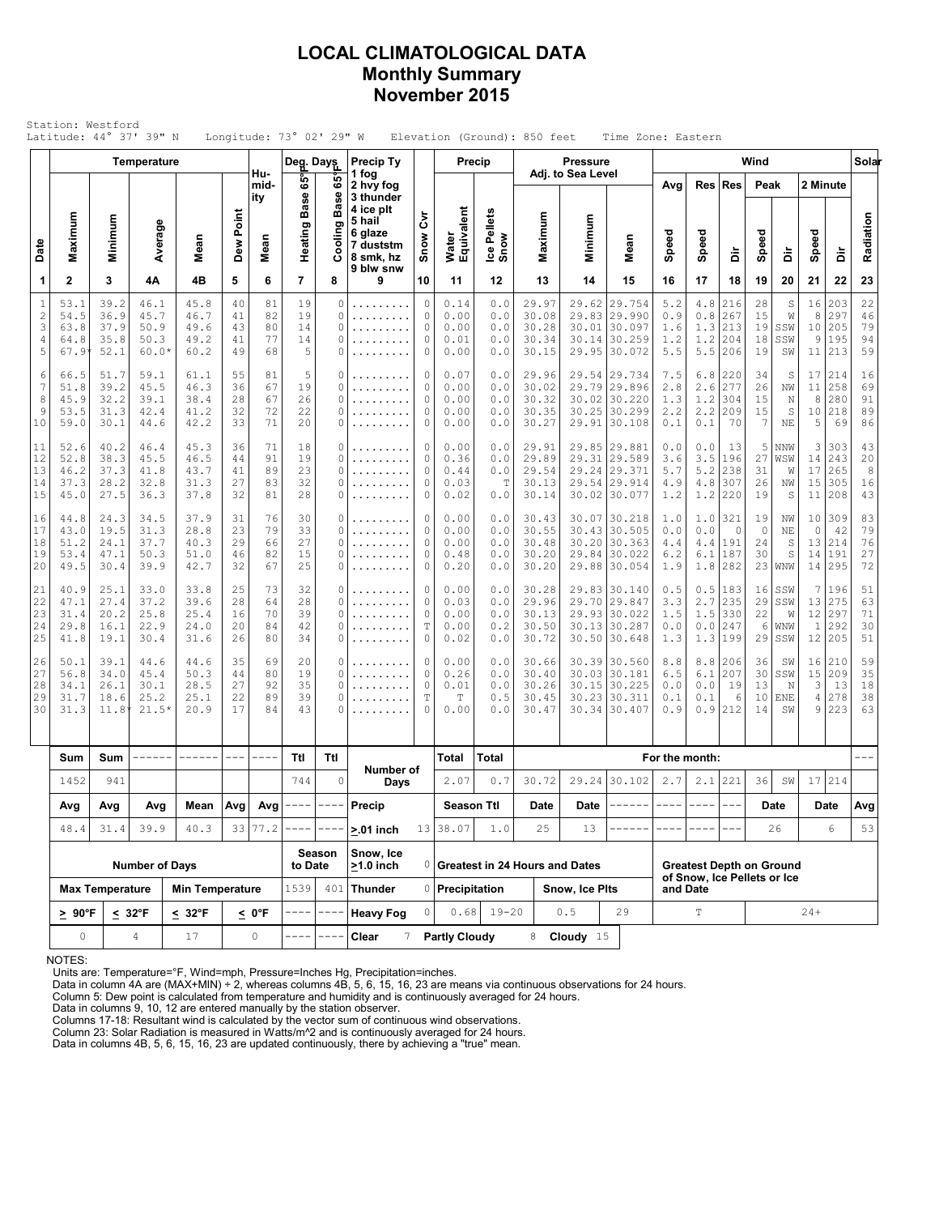# **LOCAL CLIMATOLOGICAL DATA Monthly Summary November 2015**

|                                        |                                      |                                      | <b>Temperature</b>                      |                                      |                            |                            | Deg. Days                  |                       | Precip Ty                                                             |                                 | Precip                               |                                   |                                           | <b>Pressure</b>         |                                                                              |                                         |                                                                                                                                                                                                                                                                                                                                                                                              |                                     | Wind                            |                               |                                        |                                         | Solar                      |
|----------------------------------------|--------------------------------------|--------------------------------------|-----------------------------------------|--------------------------------------|----------------------------|----------------------------|----------------------------|-----------------------|-----------------------------------------------------------------------|---------------------------------|--------------------------------------|-----------------------------------|-------------------------------------------|-------------------------|------------------------------------------------------------------------------|-----------------------------------------|----------------------------------------------------------------------------------------------------------------------------------------------------------------------------------------------------------------------------------------------------------------------------------------------------------------------------------------------------------------------------------------------|-------------------------------------|---------------------------------|-------------------------------|----------------------------------------|-----------------------------------------|----------------------------|
|                                        |                                      |                                      |                                         |                                      |                            | Hu-<br>mid-<br>ity         | 65°<br><b>Base</b>         | 65°<br><b>Base</b>    | 1 fog<br>2 hvy fog<br>3 thunder                                       |                                 |                                      |                                   |                                           | Adj. to Sea Level       |                                                                              | Avg                                     | Res                                                                                                                                                                                                                                                                                                                                                                                          | Res                                 | Peak                            |                               | 2 Minute                               |                                         |                            |
| Date                                   | Maximum                              | Minimum                              | Average                                 | Mean                                 | Dew Point                  | Mean                       | Heating                    | ø<br>Ξ                | 4 ice plt<br>5 hail<br>6 glaze<br>7 duststm<br>8 smk, hz<br>9 blw snw | ξ<br>Snow                       | Water<br>Equivalent                  | Ice Pellets<br>Snow               | Maximum                                   | Minimum                 | Mean                                                                         | Speed                                   | Speed                                                                                                                                                                                                                                                                                                                                                                                        | à                                   | Speed                           | à                             | Speed                                  | à                                       | Radiation                  |
| 1                                      | $\mathbf 2$                          | 3                                    | 4Α                                      | 4B                                   | 5                          | 6                          | 7                          | 8                     | 9                                                                     | 10                              | 11                                   | 12                                | 13                                        | 14                      | 15                                                                           | 16                                      | 17                                                                                                                                                                                                                                                                                                                                                                                           | 18                                  | 19                              | 20                            | 21                                     | 22                                      | 23                         |
| $1\,$<br>$\overline{c}$<br>3<br>4<br>5 | 53.1<br>54.5<br>63.8<br>64.8<br>67.9 | 39.2<br>36.9<br>37.9<br>35.8<br>52.1 | 46.1<br>45.7<br>50.9<br>50.3<br>$60.0*$ | 45.8<br>46.7<br>49.6<br>49.2<br>60.2 | 40<br>41<br>43<br>41<br>49 | 81<br>82<br>80<br>77<br>68 | 19<br>19<br>14<br>14<br>5  | 0<br>0<br>0<br>0<br>0 | .<br>.<br>.<br>.                                                      | 0<br>0<br>0<br>0<br>0           | 0.14<br>0.00<br>0.00<br>0.01<br>0.00 | 0.0<br>0.0<br>0.0<br>0.0<br>0.0   | 29.97<br>30.08<br>30.28<br>30.34<br>30.15 | 30.01<br>30.14          | 29.62 29.754<br>29.83 29.990<br>30.097<br> 30.259<br>29.95 30.072            | 5.2<br>0.9<br>1.6<br>1.2<br>5.5         | $4.8\,$<br>$0.8$<br>1.3<br>1.2<br>5.5                                                                                                                                                                                                                                                                                                                                                        | 216<br>267<br>213<br>204<br>206     | 28<br>15<br>19<br>18<br>19      | S<br>W<br>SSW<br>SSW<br>SW    | 16<br>8<br>10<br>9                     | 203<br>297<br>205<br>195<br>11 213      | 22<br>46<br>79<br>94<br>59 |
| 6<br>7<br>8<br>9<br>10                 | 66.5<br>51.8<br>45.9<br>53.5<br>59.0 | 51.7<br>39.2<br>32.2<br>31.3<br>30.1 | 59.1<br>45.5<br>39.1<br>42.4<br>44.6    | 61.1<br>46.3<br>38.4<br>41.2<br>42.2 | 55<br>36<br>28<br>32<br>33 | 81<br>67<br>67<br>72<br>71 | 5<br>19<br>26<br>22<br>20  | 0<br>0<br>0<br>0<br>0 | .<br>.<br>.<br>.                                                      | 0<br>0<br>0<br>0<br>0           | 0.07<br>0.00<br>0.00<br>0.00<br>0.00 | 0.0<br>0.0<br>0.0<br>0.0<br>0.0   | 29.96<br>30.02<br>30.32<br>30.35<br>30.27 | 30.25<br>29.91          | 29.54 29.734<br>29.79 29.896<br>30.02 30.220<br>30.299<br> 30.108            | 7.5<br>2.8<br>1.3<br>2.2<br>0.1         | 6.8<br>2.6<br>1.2<br>2.2<br>0.1                                                                                                                                                                                                                                                                                                                                                              | 220<br>277<br>304<br>209<br>70      | 34<br>26<br>15<br>15<br>7       | S<br>ΝW<br>N<br>S<br>ΝE       | 17<br>11<br>8<br>10<br>5               | 214<br>258<br>280<br>218<br>69          | 16<br>69<br>91<br>89<br>86 |
| 11<br>12<br>13<br>14<br>15             | 52.6<br>52.8<br>46.2<br>37.3<br>45.0 | 40.2<br>38.3<br>37.3<br>28.2<br>27.5 | 46.4<br>45.5<br>41.8<br>32.8<br>36.3    | 45.3<br>46.5<br>43.7<br>31.3<br>37.8 | 36<br>44<br>41<br>27<br>32 | 71<br>91<br>89<br>83<br>81 | 18<br>19<br>23<br>32<br>28 | 0<br>0<br>0<br>0<br>0 | .<br>.<br>.<br>.                                                      | 0<br>0<br>0<br>0<br>0           | 0.00<br>0.36<br>0.44<br>0.03<br>0.02 | 0.0<br>0.0<br>0.0<br>Т<br>0.0     | 29.91<br>29.89<br>29.54<br>30.13<br>30.14 |                         | 29.85 29.881<br>29.31 29.589<br>29.24 29.371<br>29.54 29.914<br>30.02 30.077 | 0.0<br>3.6<br>5.7<br>4.9<br>1.2         | 0.0<br>3.5<br>5.2<br>4.8<br>1.2                                                                                                                                                                                                                                                                                                                                                              | 13<br>196<br>238<br>307<br>220      | 5<br>27<br>31<br>26<br>19       | NNW<br>WSW<br>W<br>NW<br>S    | 3<br>14<br>17<br>15<br>11              | 303<br>243<br>265<br>305<br>208         | 43<br>20<br>8<br>16<br>43  |
| 16<br>17<br>18<br>19<br>20             | 44.8<br>43.0<br>51.2<br>53.4<br>49.5 | 24.3<br>19.5<br>24.1<br>47.1<br>30.4 | 34.5<br>31.3<br>37.7<br>50.3<br>39.9    | 37.9<br>28.8<br>40.3<br>51.0<br>42.7 | 31<br>23<br>29<br>46<br>32 | 76<br>79<br>66<br>82<br>67 | 30<br>33<br>27<br>15<br>25 | 0<br>0<br>0<br>0<br>0 | .<br>.<br>.<br>.                                                      | 0<br>0<br>0<br>0<br>0           | 0.00<br>0.00<br>0.00<br>0.48<br>0.20 | 0.0<br>0.0<br>0.0<br>0.0<br>0.0   | 30.43<br>30.55<br>30.48<br>30.20<br>30.20 | 29.84                   | 30.07 30.218<br>30.43 30.505<br>30.20130.363<br> 30.022<br>29.88 30.054      | 1.0<br>0.0<br>4.4<br>6.2<br>1.9         | 1.0<br>0.0<br>4.4<br>6.1<br>1.8                                                                                                                                                                                                                                                                                                                                                              | 321<br>$\circ$<br>191<br>187<br>282 | 19<br>$\circ$<br>24<br>30<br>23 | ΝW<br>NE<br>S<br>S<br>WNW     | 10 <sub>1</sub><br>$\circ$<br>14<br>14 | 309<br>42<br>13 214<br> 191<br>295      | 83<br>79<br>76<br>27<br>72 |
| 21<br>22<br>23<br>24<br>25             | 40.9<br>47.1<br>31.4<br>29.8<br>41.8 | 25.1<br>27.4<br>20.2<br>16.1<br>19.1 | 33.0<br>37.2<br>25.8<br>22.9<br>30.4    | 33.8<br>39.6<br>25.4<br>24.0<br>31.6 | 25<br>28<br>16<br>20<br>26 | 73<br>64<br>70<br>84<br>80 | 32<br>28<br>39<br>42<br>34 | 0<br>0<br>0<br>0<br>0 | .<br>.                                                                | 0<br>0<br>0<br>T<br>0           | 0.00<br>0.03<br>0.00<br>0.00<br>0.02 | 0.0<br>0.0<br>0.0<br>0.2<br>0.0   | 30.28<br>29.96<br>30.13<br>30.50<br>30.72 |                         | 29.83 30.140<br>29.70 29.847<br>29.93 30.022<br>30.13 30.287<br>30.50 30.648 | 0.5<br>3.3<br>1.5<br>0.0<br>1.3         | 0.5<br>2.7<br>1.5<br>0.0<br>1.3                                                                                                                                                                                                                                                                                                                                                              | 183<br>235<br>330<br>247<br>199     | 16<br>29<br>22<br>6<br>29       | SSW<br>SSW<br>W<br>WNW<br>SSW | 12<br>$\mathbf{1}$                     | 7 196<br>13 275<br>297<br>292<br>12 205 | 51<br>63<br>71<br>30<br>51 |
| 26<br>27<br>28<br>29<br>30             | 50.1<br>56.8<br>34.1<br>31.7<br>31.3 | 39.1<br>34.0<br>26.1<br>18.6<br>11.8 | 44.6<br>45.4<br>30.1<br>25.2<br>$21.5*$ | 44.6<br>50.3<br>28.5<br>25.1<br>20.9 | 35<br>44<br>27<br>22<br>17 | 69<br>80<br>92<br>89<br>84 | 20<br>19<br>35<br>39<br>43 | 0<br>0<br>0<br>0<br>0 | .                                                                     | 0<br>0<br>0<br>$\mathbb T$<br>0 | 0.00<br>0.26<br>0.01<br>Т<br>0.00    | 0.0<br>$0.0$<br>0.0<br>0.5<br>0.0 | 30.66<br>30.40<br>30.26<br>30.45<br>30.47 | 30.03<br>30.23<br>30.34 | 30.39 30.560<br>30.181<br>30.15 30.225<br>30.311<br> 30.407                  | 8.8<br>6.5<br>0.0<br>0.1<br>0.9         | 8.8<br>6.1<br>0.0<br>0.1<br>0.9                                                                                                                                                                                                                                                                                                                                                              | 206<br>207<br>19<br>6<br>212        | 36<br>30<br>13<br>10<br>14      | SW<br>SSW<br>N<br>ENE<br>SW   | 3<br>4<br>9                            | 16 210<br>15 209<br>13<br>278<br>223    | 59<br>35<br>18<br>38<br>63 |
|                                        | Sum                                  | Sum                                  | ------                                  | ------                               | $\frac{1}{2}$              | ----                       | Ttl                        | Ttl                   |                                                                       |                                 | Total                                | Total                             |                                           |                         |                                                                              | For the month:                          |                                                                                                                                                                                                                                                                                                                                                                                              |                                     |                                 |                               |                                        |                                         | $- - -$                    |
|                                        | 1452                                 | 941                                  |                                         |                                      |                            |                            | 744                        | $\circ$               | Number of<br>Days                                                     |                                 | 2.07                                 | 0.7                               | 30.72                                     |                         | 29.24 30.102                                                                 | 2.7                                     | 2.1                                                                                                                                                                                                                                                                                                                                                                                          | 221                                 | 36                              | SW                            |                                        | 17 214                                  |                            |
|                                        | Avg                                  | Avg                                  | Avg                                     | Mean                                 |                            | $Avg$ Avg                  | $\qquad \qquad - - -$      | $- - - -$             | Precip                                                                |                                 | <b>Season Ttl</b>                    |                                   | Date                                      | Date                    | ------                                                                       | ----                                    | $\frac{1}{2} \frac{1}{2} \frac{1}{2} \frac{1}{2} \frac{1}{2} \frac{1}{2} \frac{1}{2} \frac{1}{2} \frac{1}{2} \frac{1}{2} \frac{1}{2} \frac{1}{2} \frac{1}{2} \frac{1}{2} \frac{1}{2} \frac{1}{2} \frac{1}{2} \frac{1}{2} \frac{1}{2} \frac{1}{2} \frac{1}{2} \frac{1}{2} \frac{1}{2} \frac{1}{2} \frac{1}{2} \frac{1}{2} \frac{1}{2} \frac{1}{2} \frac{1}{2} \frac{1}{2} \frac{1}{2} \frac{$ | $\frac{1}{2}$                       |                                 | Date                          |                                        | Date                                    | Avg                        |
|                                        | 48.4                                 | 31.4                                 | 39.9                                    | 40.3                                 |                            | 33 77.2                    |                            |                       | $> 01$ inch                                                           |                                 | 13 38.07                             | 1.0                               | 25                                        | 13                      |                                                                              |                                         |                                                                                                                                                                                                                                                                                                                                                                                              |                                     |                                 | 26                            |                                        | 6                                       | 53                         |
|                                        |                                      |                                      | <b>Number of Days</b>                   |                                      |                            |                            |                            | Season                | Snow, Ice<br>$>1.0$ inch                                              |                                 |                                      |                                   | 0 Greatest in 24 Hours and Dates          |                         |                                                                              |                                         |                                                                                                                                                                                                                                                                                                                                                                                              | <b>Greatest Depth on Ground</b>     |                                 |                               |                                        |                                         |                            |
|                                        |                                      | <b>Max Temperature</b>               |                                         | <b>Min Temperature</b>               |                            |                            | to Date<br>1539<br>401     |                       | <b>Thunder</b>                                                        |                                 | 0 Precipitation                      |                                   |                                           | Snow, Ice Plts          |                                                                              | of Snow, Ice Pellets or Ice<br>and Date |                                                                                                                                                                                                                                                                                                                                                                                              |                                     |                                 |                               |                                        |                                         |                            |
|                                        | $\geq 90^{\circ}$ F                  |                                      | $\leq 32^{\circ}$ F                     | $\leq 32^{\circ}$ F                  |                            | <u>&lt;</u> 0°F            |                            |                       | <b>Heavy Fog</b>                                                      | 0.68                            |                                      | $19 - 20$<br>0.5<br>29            |                                           | T                       |                                                                              |                                         | $24+$                                                                                                                                                                                                                                                                                                                                                                                        |                                     |                                 |                               |                                        |                                         |                            |
|                                        | $\mathsf{O}\xspace$                  |                                      | $\overline{4}$<br>17                    |                                      | 0                          |                            |                            | Clear<br>7            |                                                                       | <b>Partly Cloudy</b>            |                                      |                                   | 8 <b>Cloudy</b> 15                        |                         |                                                                              |                                         |                                                                                                                                                                                                                                                                                                                                                                                              |                                     |                                 |                               |                                        |                                         |                            |

NOTES:

Units are: Temperature=°F, Wind=mph, Pressure=Inches Hg, Precipitation=inches. Data in column 4A are (MAX+MIN) ÷ 2, whereas columns 4B, 5, 6, 15, 16, 23 are means via continuous observations for 24 hours.

Column 5: Dew point is calculated from temperature and humidity and is continuously averaged for 24 hours.

Data in columns 9, 10, 12 are entered manually by the station observer. Columns 17-18: Resultant wind is calculated by the vector sum of continuous wind observations.

Column 23: Solar Radiation is measured in Watts/m^2 and is continuously averaged for 24 hours.

Data in columns 4B, 5, 6, 15, 16, 23 are updated continuously, there by achieving a "true" mean.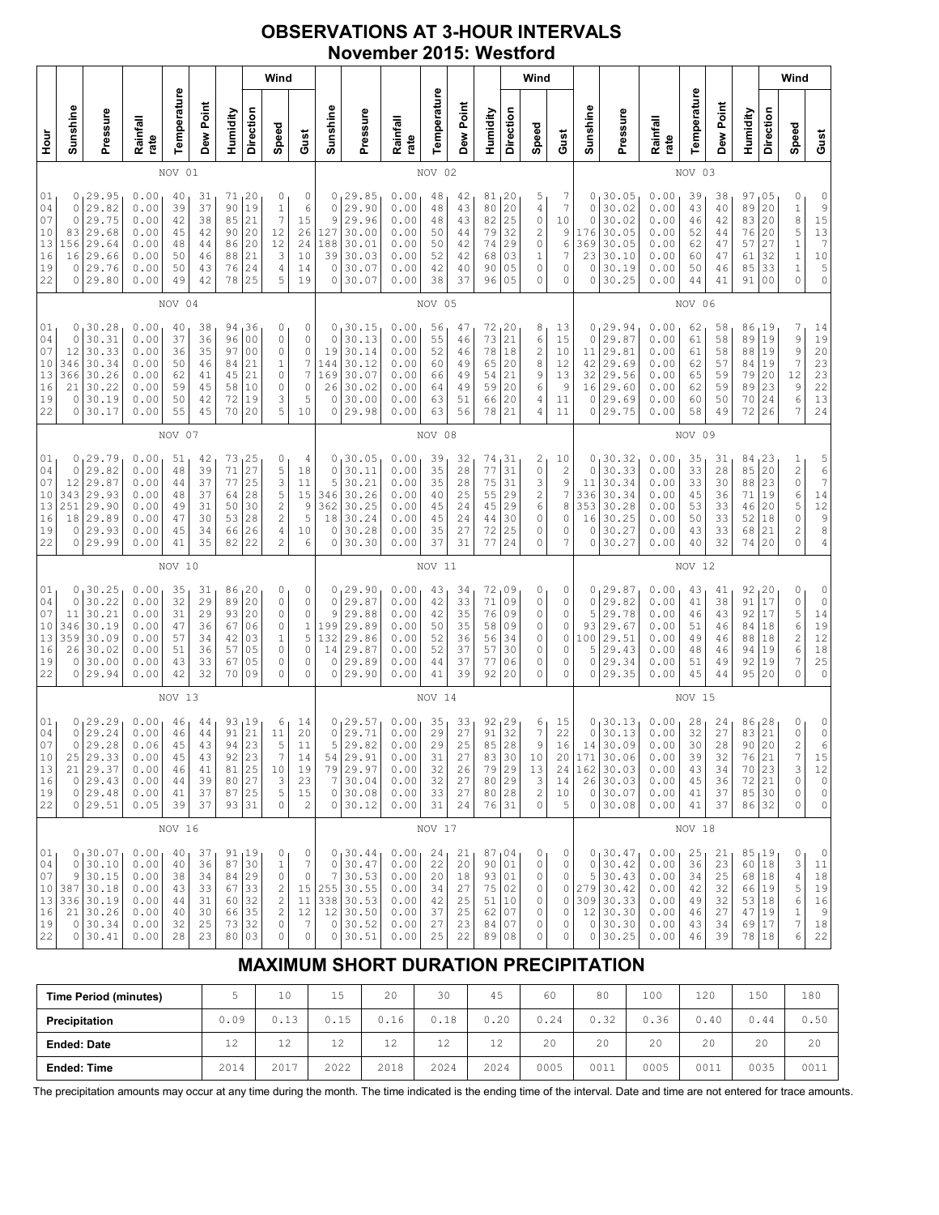# **OBSERVATIONS AT 3-HOUR INTERVALS November 2015: Westford**

|                                                                                                                                                                                                                                                                                                                                                                                                                                                                                                 |                                            | Wind                                                                                   |                                                              |                                              |                                              |                                                          |                                                                |                                                                                       |                                                                                   |                                                                       |                                                                                         |                                                              |                                                  |                                                  |                                                          |                                        | Wind                                                       |                                                                      |                                                              |                                                                               |                                                              |                                              |                                                           |                                                                            |                                                                                       | Wind                                                                                      |                                                                      |
|-------------------------------------------------------------------------------------------------------------------------------------------------------------------------------------------------------------------------------------------------------------------------------------------------------------------------------------------------------------------------------------------------------------------------------------------------------------------------------------------------|--------------------------------------------|----------------------------------------------------------------------------------------|--------------------------------------------------------------|----------------------------------------------|----------------------------------------------|----------------------------------------------------------|----------------------------------------------------------------|---------------------------------------------------------------------------------------|-----------------------------------------------------------------------------------|-----------------------------------------------------------------------|-----------------------------------------------------------------------------------------|--------------------------------------------------------------|--------------------------------------------------|--------------------------------------------------|----------------------------------------------------------|----------------------------------------|------------------------------------------------------------|----------------------------------------------------------------------|--------------------------------------------------------------|-------------------------------------------------------------------------------|--------------------------------------------------------------|----------------------------------------------|-----------------------------------------------------------|----------------------------------------------------------------------------|---------------------------------------------------------------------------------------|-------------------------------------------------------------------------------------------|----------------------------------------------------------------------|
| Hour<br>H                                                                                                                                                                                                                                                                                                                                                                                                                                                                                       | Sunshine                                   | Pressure                                                                               | Rainfall<br>rate                                             | Temperature                                  | Dew Point                                    | Humidity                                                 | Direction                                                      | Speed                                                                                 | Gust                                                                              | Sunshine                                                              | Pressure                                                                                | Rainfall<br>rate                                             | Temperature                                      | Dew Point                                        | Humidity                                                 | Direction                              | Speed                                                      | Gust                                                                 | Sunshine                                                     | Pressure                                                                      | Rainfall<br>rate                                             | Temperature                                  | Dew Point                                                 | Humidity                                                                   | Direction                                                                             | Speed                                                                                     | Gust                                                                 |
|                                                                                                                                                                                                                                                                                                                                                                                                                                                                                                 | 01<br>NOV                                  |                                                                                        |                                                              |                                              |                                              |                                                          |                                                                |                                                                                       |                                                                                   |                                                                       |                                                                                         |                                                              | NOV 02                                           |                                                  |                                                          |                                        |                                                            |                                                                      |                                                              |                                                                               |                                                              | NOV 03                                       |                                                           |                                                                            |                                                                                       |                                                                                           |                                                                      |
| 01<br>29.95<br>0.00<br>20<br>0<br>40<br>31<br>71<br>0<br>37<br>$\,1\,$<br>04<br>29.82<br>0.00<br>90<br>0<br>39<br>19<br>$\boldsymbol{7}$<br>07<br>29.75<br>85<br>21<br>0<br>0.00<br>42<br>38<br>10<br>29.68<br>12<br>83<br>0.00<br>45<br>42<br>90<br>20<br>13<br>29.64<br>12<br>156<br>0.00<br>86<br>20<br>48<br>44<br>16<br>29.66<br>21<br>3<br>16<br>0.00<br>50<br>88<br>46<br>19<br>29.76<br>0<br>0.00<br>50<br>76<br>24<br>4<br>43<br>5<br>22<br>29.80<br>78<br>25<br>0<br>0.00<br>49<br>42 |                                            |                                                                                        |                                                              |                                              |                                              |                                                          | 0<br>6<br>15<br>26<br>24<br>10<br>14<br>19                     | 0<br>$\circ$<br>9<br>127<br>188<br>39<br>$\circ$<br>0                                 | 29.85<br>29.90<br>29.96<br>30.00<br>30.01<br>30.03<br>30.07<br>30.07              | 0.00<br>0.00<br>0.00<br>0.00<br>0.00<br>0.00<br>0.00<br>0.00          | 48<br>48<br>48<br>50<br>50<br>52<br>42<br>38                                            | 42<br>43<br>43<br>44<br>42<br>42<br>40<br>37                 | 81, 20<br>80<br>82<br>79<br>74<br>68<br>90<br>96 | 20<br>25<br>32<br>29<br>03<br>05<br>05           | 5<br>4<br>0<br>2<br>0<br>1<br>0<br>0                     | 7<br>7<br>10<br>9<br>6<br>7<br>0<br>0  | 0<br>0<br>0<br>176<br>369<br>23<br>0<br>0                  | 30.05<br>30.02<br>30.02<br>30.05<br>30.05<br>30.10<br>30.19<br>30.25 | 0.00<br>0.00<br>0.00<br>0.00<br>0.00<br>0.00<br>0.00<br>0.00 | 39<br>43<br>46<br>52<br>62<br>60<br>50<br>44                                  | 38<br>40<br>42<br>44<br>47<br>47<br>46<br>41                 | 97<br>89<br>83<br>76<br>57<br>61<br>85<br>91 | 105<br>20<br>20<br>20<br>27<br>32<br>33<br>0 <sub>0</sub> | 0<br>$\,1\,$<br>8<br>5<br>$\,1\,$<br>$\mathbf 1$<br>$\mathbf 1$<br>0       | 0<br>9<br>15<br>13<br>$\overline{1}$<br>$10$<br>$\begin{array}{c} 5 \\ 0 \end{array}$ |                                                                                           |                                                                      |
|                                                                                                                                                                                                                                                                                                                                                                                                                                                                                                 |                                            |                                                                                        |                                                              | NOV 04                                       |                                              |                                                          |                                                                |                                                                                       |                                                                                   |                                                                       |                                                                                         |                                                              | NOV 05                                           |                                                  |                                                          |                                        |                                                            |                                                                      |                                                              |                                                                               |                                                              | NOV 06                                       |                                                           |                                                                            |                                                                                       |                                                                                           |                                                                      |
| 01<br>04<br>07<br>10<br>13<br>16<br>19<br>22                                                                                                                                                                                                                                                                                                                                                                                                                                                    | 0<br>0<br>12<br>346<br>366<br>21<br>0<br>0 | 30.28<br>30.31<br>30.33<br>30.34<br>30.26<br>30.22<br>30.19<br>30.17                   | 0.00<br>0.00<br>0.00<br>0.00<br>0.00<br>0.00<br>0.00<br>0.00 | 40<br>37<br>36<br>50<br>62<br>59<br>50<br>55 | 38<br>36<br>35<br>46<br>41<br>45<br>42<br>45 | 94 36<br>96<br>97<br>84<br>45<br>58<br>72<br>70          | 0 <sub>0</sub><br>0 <sub>0</sub><br>21<br>21<br>10<br>19<br>20 | 0<br>0<br>0<br>$\mathbf 1$<br>0<br>0<br>3<br>5                                        | 0<br>0<br>0<br>$\boldsymbol{7}$<br>$\overline{7}$<br>$\circ$<br>5<br>10           | 0<br>$\circ$<br>19<br>144<br>169<br>26<br>0<br>0                      | 30.15<br>30.13<br>30.14<br>30.12<br>30.07<br>30.02<br>30.00<br>29.98                    | 0.00<br>0.00<br>0.00<br>0.00<br>0.00<br>0.00<br>0.00<br>0.00 | 56<br>55<br>52<br>60<br>66<br>64<br>63<br>63     | 47<br>46<br>46<br>49<br>49<br>49<br>51<br>56     | 72, 20<br>73<br>78<br>65<br>54<br>59<br>66<br>78         | 21<br>18<br>20<br>21<br>20<br>20<br>21 | 8<br>6<br>$\overline{\mathbf{c}}$<br>8<br>9<br>6<br>4<br>4 | 13<br>15<br>10<br>12<br>13<br>$\overline{9}$<br>11<br>11             | 0<br>0<br>11<br>42<br>32<br>16<br>$\circ$<br>0               | 29.94<br>29.87<br>29.81<br>29.69<br>29.56<br>29.60<br>29.69<br>29.75          | 0.00<br>0.00<br>0.00<br>0.00<br>0.00<br>0.00<br>0.00<br>0.00 | 62<br>61<br>61<br>62<br>65<br>62<br>60<br>58 | 58<br>58<br>58<br>57<br>59<br>59<br>50<br>49              | 86,19<br>89<br>88<br>84<br>79<br>89<br>70<br>72                            | 19<br>19<br>19<br>20<br>23<br>24<br>26                                                | 7<br>9<br>9<br>$\boldsymbol{7}$<br>12<br>9<br>$\epsilon$<br>7                             | 14<br>$19$<br>20<br>23<br>23<br>22<br>13<br>24                       |
| NOV 07                                                                                                                                                                                                                                                                                                                                                                                                                                                                                          |                                            |                                                                                        |                                                              |                                              |                                              |                                                          |                                                                |                                                                                       |                                                                                   |                                                                       | NOV 08                                                                                  |                                                              |                                                  |                                                  |                                                          |                                        |                                                            |                                                                      |                                                              | NOV 09                                                                        |                                                              |                                              |                                                           |                                                                            |                                                                                       |                                                                                           |                                                                      |
| 01<br>04<br>07<br>10<br>13<br>16<br>19<br>22                                                                                                                                                                                                                                                                                                                                                                                                                                                    | 0<br>12<br>343<br>251<br>18<br>0<br>0      | 0, 29, 79<br>29.82<br>29.87<br>29.93<br>29.90<br>29.89<br>29.93<br>29.99               | 0.00<br>0.00<br>0.00<br>0.00<br>0.00<br>0.00<br>0.00<br>0.00 | 51<br>48<br>44<br>48<br>49<br>47<br>45<br>41 | 42<br>39<br>37<br>37<br>31<br>30<br>34<br>35 | 73, 25<br>71<br>77<br>64<br>50<br>53<br>66<br>82         | 27<br>25<br>28<br>30<br>28<br>26<br>22                         | 0<br>5<br>3<br>5<br>2<br>$\overline{c}$<br>4<br>$\overline{c}$                        | 4<br>18<br>11<br>15<br>9<br>5<br>10<br>6                                          | 0<br>$\circ$<br>5<br>346<br>362<br>18<br>0<br>$\circ$                 | 130.05<br>30.11<br>30.21<br>30.26<br>30.25<br>30.24<br>30.28<br>30.30                   | 0.00<br>0.00<br>0.00<br>0.00<br>0.00<br>0.00<br>0.00<br>0.00 | 39<br>35<br>35<br>40<br>45<br>45<br>35<br>37     | 32<br>28<br>28<br>25<br>24<br>24<br>27<br>31     | 74, 31<br>77<br>75<br>55<br>45<br>44<br>72<br>77         | 31<br>31<br>29<br>29<br>30<br>25<br>24 | 2<br>0<br>3<br>$\overline{\mathbf{c}}$<br>6<br>0<br>0<br>0 | 10<br>2<br>9<br>7<br>8<br>0<br>0<br>7                                | 0<br>0<br>11<br>336<br>353<br>16<br>0<br>0                   | 30.32<br>30.33<br>30.34<br>30.34<br>30.28<br>30.25<br>30.27<br>30.27          | 0.00<br>0.00<br>0.00<br>0.00<br>0.00<br>0.00<br>0.00<br>0.00 | 35<br>33<br>33<br>45<br>53<br>50<br>43<br>40 | 31<br>28<br>30<br>36<br>33<br>33<br>33<br>32              | 84, 23<br>85<br>88<br>71<br>46<br>52<br>68<br>74                           | 20<br>23<br>19<br>20<br>18<br>21<br>20                                                | 1<br>$\overline{c}$<br>$\mathbb O$<br>6<br>5<br>$\mathbb O$<br>$\overline{c}$<br>$\Omega$ | 5<br>6<br>7<br>$1\,4$<br>12<br>$\frac{9}{8}$<br>$\overline{4}$       |
|                                                                                                                                                                                                                                                                                                                                                                                                                                                                                                 |                                            |                                                                                        |                                                              | NOV 10                                       |                                              |                                                          |                                                                |                                                                                       |                                                                                   |                                                                       |                                                                                         |                                                              | NOV 11                                           |                                                  |                                                          |                                        |                                                            |                                                                      |                                                              |                                                                               |                                                              | NOV 12                                       |                                                           |                                                                            |                                                                                       |                                                                                           |                                                                      |
| 01<br>04<br>07<br>10<br>13<br>16<br>19<br>22                                                                                                                                                                                                                                                                                                                                                                                                                                                    | 0<br>0<br>11<br>346<br>359<br>26<br>0<br>0 | 130.25<br>30.22<br>30.21<br>30.19<br>30.09<br>30.02<br>30.00<br>29.94                  | 0.00<br>0.00<br>0.00<br>0.00<br>0.00<br>0.00<br>0.00<br>0.00 | 35<br>32<br>31<br>47<br>57<br>51<br>43<br>42 | 31<br>29<br>29<br>36<br>34<br>36<br>33<br>32 | 86<br>89<br>93<br>67<br>42<br>57<br>67<br>70             | 20<br>20<br>20<br>06<br>03<br>05<br>05<br>09                   | 0<br>0<br>0<br>0<br>$1\,$<br>0<br>0<br>0                                              | 0<br>$\mathbb O$<br>$\mathbb O$<br>$\,1$<br>5<br>0<br>0<br>0                      | 0<br>$\circ$<br>9<br>199<br>132<br>14<br>0<br>0                       | 129.90<br>29.87<br>29.88<br>29.89<br>29.86<br>29.87<br>29.89<br>29.90                   | 0.00<br>0.00<br>0.00<br>0.00<br>0.00<br>0.00<br>0.00<br>0.00 | 43<br>42<br>42<br>50<br>52<br>52<br>44<br>41     | 34<br>33<br>35<br>35<br>36<br>37<br>37<br>39     | 72,09<br>71<br>76<br>58<br>56<br>57<br>77<br>92          | 09<br>09<br>09<br>34<br>30<br>06<br>20 | 0<br>0<br>0<br>0<br>0<br>0<br>0<br>0                       | 0<br>0<br>0<br>0<br>0<br>0<br>0<br>0                                 | 0<br>0<br>5<br>93<br>100<br>5<br>0<br>0                      | 29.87<br>29.82<br>29.78<br>29.67<br>29.51<br>29.43<br>29.34<br>29.35          | 0.00<br>0.00<br>0.00<br>0.00<br>0.00<br>0.00<br>0.00<br>0.00 | 43<br>41<br>46<br>51<br>49<br>48<br>51<br>45 | 41<br>38<br>43<br>46<br>46<br>46<br>49<br>44              | 92<br>91<br>92<br>84<br>88<br>94<br>92<br>95                               | 20 ر<br>17<br>17<br>18<br>18<br>19<br>19<br>20                                        | 0<br>0<br>5<br>$\epsilon$<br>$\overline{c}$<br>$\epsilon$<br>7<br>$\Omega$                | 0<br>$\circ$<br>$1\,4$<br>19<br>$12$<br>$1\,8$<br>25<br>0            |
|                                                                                                                                                                                                                                                                                                                                                                                                                                                                                                 |                                            | NOV 13                                                                                 |                                                              |                                              |                                              |                                                          |                                                                |                                                                                       |                                                                                   | NOV 14                                                                |                                                                                         |                                                              |                                                  |                                                  |                                                          |                                        |                                                            |                                                                      | NOV 15                                                       |                                                                               |                                                              |                                              |                                                           |                                                                            |                                                                                       |                                                                                           |                                                                      |
| 01<br>04<br>07<br>10<br>13<br>16<br>19<br>22                                                                                                                                                                                                                                                                                                                                                                                                                                                    | 0<br>$\circ$                               | 0, 29.29<br>29.24<br>29.28<br>25 29.33<br>21 29.37<br>0 29.43<br>0 29.48<br>0 29.51    | 0.00<br>0.00<br>0.06<br>0.00<br>0.00<br>0.00<br>0.00<br>0.05 | 46<br>46<br>45<br>45<br>46<br>44<br>41<br>39 | 44<br>44<br>43<br>43<br>41<br>39<br>37<br>37 | 93,19<br>91<br>94<br>92<br>81<br>80 27<br>87 25<br>93 31 | 21<br>23<br>23<br>25                                           | 6<br>11<br>5<br>7<br>10<br>3<br>5<br>0                                                | 14<br>20<br>11<br>14<br>19<br>23<br>15<br>$\overline{c}$                          | 0<br>$\mathbb O$<br>5<br>54<br>79<br>$\boldsymbol{7}$<br>$\circ$<br>0 | 129.57<br>29.71<br>29.82<br>29.91<br> 29.97<br>30.04<br>30.08<br>30.12                  | 0.00<br>0.00<br>0.00<br>0.00<br>0.00<br>0.00<br>0.00<br>0.00 | 35<br>29<br>29<br>31<br>32<br>32<br>33<br>31     | 33<br>27<br>$2\,5$<br>27<br>26<br>27<br>27<br>24 | 92, 29<br>91<br>85<br>83<br>79<br>80 29<br>80   28<br>76 | 32<br>28<br>30<br>29<br>31             | 6<br>7<br>9<br>10<br>13<br>3<br>2<br>0                     | 15<br>22<br>16<br>20<br>24<br>14<br>10<br>5                          | 0<br>0<br>14<br>171<br>162<br>$\circ$                        | 30.13<br>30.13<br>30.09<br>30.06<br>30.03<br>26 30.03<br>0 30.07<br>30.08     | 0.00<br>0.00<br>0.00<br>0.00<br>0.00<br>0.00<br>0.00<br>0.00 | 28<br>32<br>30<br>39<br>43<br>45<br>41<br>41 | 24<br>27<br>28<br>32<br>34<br>36<br>37<br>37              | 86, 28<br>83<br>90<br>76 21<br>70 23<br>72 21<br>85 30<br>86 32            | 21<br>20                                                                              | 0<br>0<br>$\overline{c}$<br>7<br>3<br>0<br>0<br>0                                         | 0<br>0<br>6<br>15<br>12<br>$\mathbb O$<br>$\mathbb O$<br>$\mathbb O$ |
|                                                                                                                                                                                                                                                                                                                                                                                                                                                                                                 |                                            |                                                                                        |                                                              | NOV 16                                       |                                              |                                                          |                                                                |                                                                                       |                                                                                   |                                                                       |                                                                                         |                                                              | NOV 17                                           |                                                  |                                                          |                                        |                                                            |                                                                      |                                                              |                                                                               |                                                              | NOV 18                                       |                                                           |                                                                            |                                                                                       |                                                                                           |                                                                      |
| 01<br>04<br>07<br>10<br>13<br>16<br>19<br>22                                                                                                                                                                                                                                                                                                                                                                                                                                                    | 0<br>9                                     | 0, 30.07<br>30.10<br>30.15<br>387 30.18<br>336 30.19<br>21 30.26<br>0 30.34<br>0 30.41 | 0.00<br>0.00<br>0.00<br>0.00<br>0.00<br>0.00<br>0.00<br>0.00 | 40<br>40<br>38<br>43<br>44<br>40<br>32<br>28 | 37<br>36<br>34<br>33<br>31<br>30<br>25<br>23 | 91, 19<br>87<br>84<br>67<br>60 32<br>66<br>73 32<br>80   | 30<br>29<br>33<br>35<br>03                                     | 0<br>$1\,$<br>0<br>$\overline{\mathbf{c}}$<br>$\overline{c}$<br>$\mathbf 2$<br>0<br>0 | 0<br>$\boldsymbol{7}$<br>$\mathbb O$<br>11<br>12<br>$\overline{7}$<br>$\mathbb O$ | $\circ$<br>7<br>0                                                     | 0, 30.44<br>30.47<br>30.53<br>15 255 30.55<br>338 30.53<br>12 30.50<br>30.52<br>0 30.51 | 0.00<br>0.00<br>0.00<br>0.00<br>0.00<br>0.00<br>0.00<br>0.00 | 24<br>22<br>20<br>34<br>42<br>37<br>27<br>25     | 21<br>20<br>18<br>27<br>25<br>25<br>23<br>22     | 87,04<br>90 01<br>93 01<br>75<br>51<br>62<br>84<br>89    | 02<br>10<br>07<br>07<br>08             | 0<br>0<br>0<br>0<br>0<br>0<br>0<br>0                       | 0<br>0<br>0<br>0<br>0<br>0<br>0<br>0                                 | 0<br>0<br>5 <sup>1</sup><br>309<br>12                        | 130.47<br>30.42<br>30.43<br>279 30.42<br>30.33<br>30.30<br>0 30.30<br>0 30.25 | 0.00<br>0.00<br>0.00<br>0.00<br>0.00<br>0.00<br>0.00<br>0.00 | 25<br>36<br>34<br>42<br>49<br>46<br>43<br>46 | 21<br>23<br>25<br>32<br>32<br>27<br>34<br>39              | 85,19<br>60   18<br>68   18<br>66 19<br>53 18<br>47 19<br>69 17<br>78   18 |                                                                                       | 0<br>3<br>$\sqrt{4}$<br>5<br>6<br>1<br>7<br>6                                             | 0<br>11<br>18<br>19<br>16<br>9<br>18<br>22                           |

# **MAXIMUM SHORT DURATION PRECIPITATION**

| <b>Time Period (minutes)</b> |          | 10         | 15   | 20       | 30           | 45           | 60   | 80   | 100  | 120  | 150  | 180  |
|------------------------------|----------|------------|------|----------|--------------|--------------|------|------|------|------|------|------|
| Precipitation                | 0.09     | 12<br>0.13 | 0.15 | 0.16     | 0.18         | 0.20         | 0.24 | 0.32 | 0.36 | 0.40 | 0.44 | 0.50 |
| <b>Ended: Date</b>           | 1つ<br>∸∸ | 12         | 12   | 12<br>ᅩᄼ | $\sim$<br>∸∸ | $\sim$<br>∸∸ | 20   | 20   | 20   | 20   | 20   | 20   |
| <b>Ended: Time</b>           | 2014     | 2017       | 2022 | 2018     | 2024         | 2024         | 0005 | 0011 | 0005 | 0011 | 0035 | 0011 |

The precipitation amounts may occur at any time during the month. The time indicated is the ending time of the interval. Date and time are not entered for trace amounts.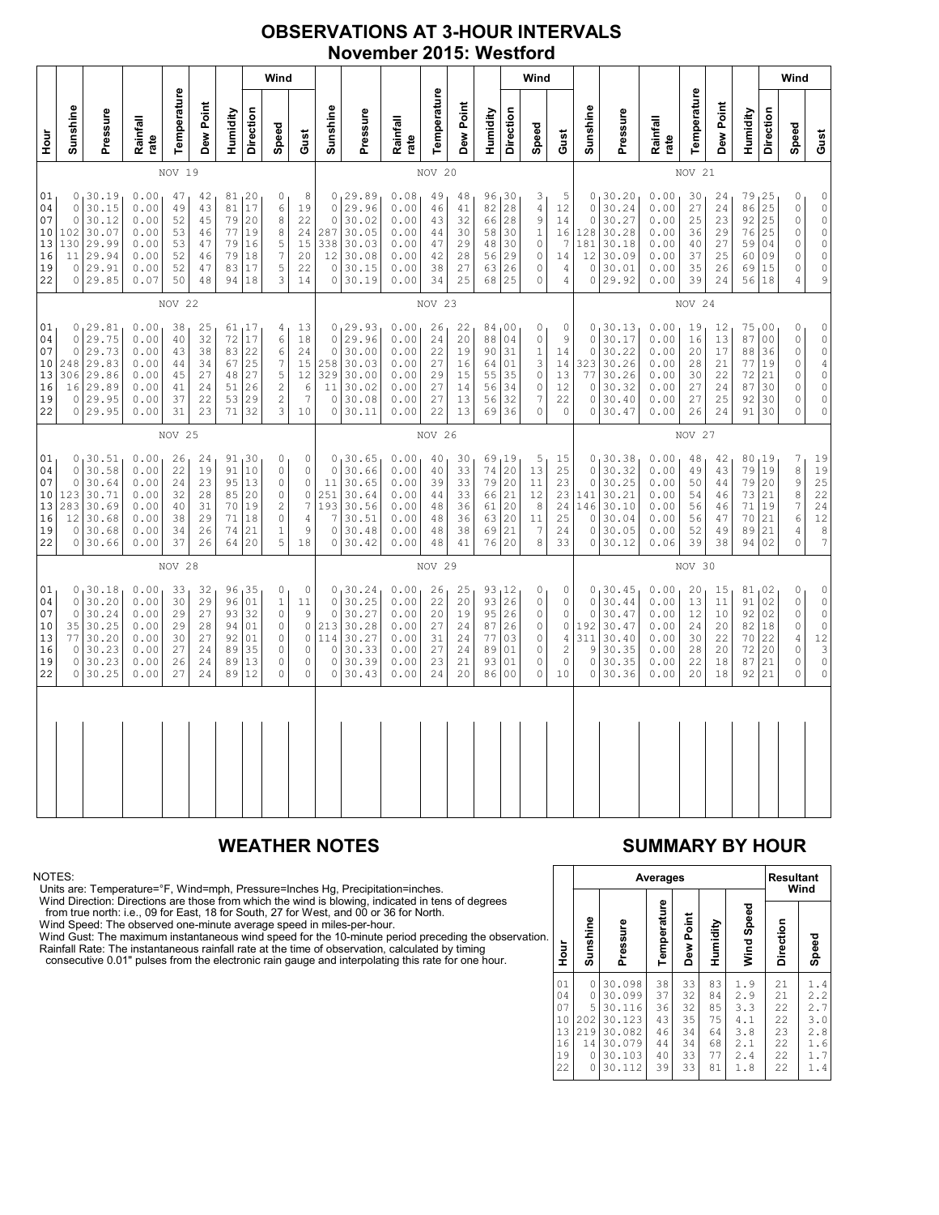# **OBSERVATIONS AT 3-HOUR INTERVALS November 2015: Westford**

|                                              | Wind                                                                                                                                                                                                                                                                                                                                                                                                                                                                                          |                                                                           |                                                              |                                              |                                              |                                                                    |                                                                         |                                                                                |                                                                                       |                                                                      |                                                                             |                                                              |                                                                                    | Wind                                                  |                                                     |                                                                           |                                                                      |                                                                          |                                                 |                                                                             |                                                              |                                                                                   | Wind                                                                                                         |                                                 |                                                            |                                                                            |                                                                                                               |
|----------------------------------------------|-----------------------------------------------------------------------------------------------------------------------------------------------------------------------------------------------------------------------------------------------------------------------------------------------------------------------------------------------------------------------------------------------------------------------------------------------------------------------------------------------|---------------------------------------------------------------------------|--------------------------------------------------------------|----------------------------------------------|----------------------------------------------|--------------------------------------------------------------------|-------------------------------------------------------------------------|--------------------------------------------------------------------------------|---------------------------------------------------------------------------------------|----------------------------------------------------------------------|-----------------------------------------------------------------------------|--------------------------------------------------------------|------------------------------------------------------------------------------------|-------------------------------------------------------|-----------------------------------------------------|---------------------------------------------------------------------------|----------------------------------------------------------------------|--------------------------------------------------------------------------|-------------------------------------------------|-----------------------------------------------------------------------------|--------------------------------------------------------------|-----------------------------------------------------------------------------------|--------------------------------------------------------------------------------------------------------------|-------------------------------------------------|------------------------------------------------------------|----------------------------------------------------------------------------|---------------------------------------------------------------------------------------------------------------|
| nour<br>H                                    | Sunshine                                                                                                                                                                                                                                                                                                                                                                                                                                                                                      | Pressure                                                                  | Rainfall<br>rate                                             | Temperature                                  | Dew Point                                    | Humidity                                                           | Direction                                                               | Speed                                                                          | Gust                                                                                  | Sunshine                                                             | Pressure                                                                    | Rainfall<br>rate                                             | Temperature                                                                        | Dew Point                                             | Humidity                                            | Direction                                                                 | Speed                                                                | Gust                                                                     | Sunshine                                        | Pressure                                                                    | Rainfall<br>rate                                             | Temperature                                                                       | Dew Point                                                                                                    | Humidity                                        | Direction                                                  | Speed                                                                      | Gust                                                                                                          |
|                                              |                                                                                                                                                                                                                                                                                                                                                                                                                                                                                               |                                                                           |                                                              | NOV 19                                       |                                              |                                                                    |                                                                         |                                                                                |                                                                                       |                                                                      |                                                                             |                                                              | NOV 20                                                                             |                                                       |                                                     |                                                                           |                                                                      |                                                                          | NOV 21                                          |                                                                             |                                                              |                                                                                   |                                                                                                              |                                                 |                                                            |                                                                            |                                                                                                               |
| 01<br>04<br>07<br>10<br>13<br>16<br>19<br>22 | 0, 30.19<br>0.00<br>81, 20<br>$\circ$<br>8<br>47<br>42<br>17<br>30.15<br>81<br>6<br>0<br>0.00<br>49<br>43<br>19<br>30.12<br>79<br>$\,8\,$<br>0.00<br>45<br>20<br>22<br>0<br>52<br>30.07<br>77<br>$\,8\,$<br>102<br>0.00<br>19<br>24<br>53<br>46<br>29.99<br>5<br>130<br>0.00<br>79<br>16<br>15<br>53<br>47<br>$\overline{7}$<br>29.94<br>79<br>11<br>0.00<br>52<br>18<br>20<br>46<br>29.91<br>5<br>0.00<br>17<br>22<br>0<br>52<br>47<br>83<br>0 29.85<br>0.07<br>3<br>50<br>48<br>94 18<br>14 |                                                                           |                                                              |                                              |                                              | $\Omega$<br>$\mathbb O$<br>287<br>338<br>12<br>$\circ$<br>$\Omega$ | 0, 29.89<br>29.96<br>30.02<br>30.05<br>30.03<br>30.08<br>30.15<br>30.19 | 0.08<br>0.00<br>0.00<br>0.00<br>0.00<br>0.00<br>0.00<br>0.00                   | 49<br>46<br>43<br>44<br>47<br>42<br>38<br>34                                          | 48<br>41<br>32<br>30<br>29<br>28<br>27<br>25                         | 96, 30<br>82<br>66<br>58<br>48<br>56<br>63<br>68                            | 28<br>28<br>30<br>30<br>29<br>26<br>25                       | 3<br>$\overline{4}$<br>9<br>$\,1\,$<br>$\mathbb O$<br>$\mathbf 0$<br>0<br>$\Omega$ | 5<br>12<br>14<br>16<br>7<br>14<br>$\overline{4}$<br>4 | $\Omega$<br>$\Omega$<br>128<br>181<br>12<br>$\circ$ | 0, 30.20<br>30.24<br>30.27<br>30.28<br>30.18<br>30.09<br>30.01<br>0 29.92 | 0.00<br>0.00<br>0.00<br>0.00<br>0.00<br>0.00<br>0.00<br>0.00         | 30<br>27<br>25<br>36<br>40<br>37<br>35<br>39                             | 24<br>24<br>23<br>29<br>27<br>25<br>26<br>24    | 79<br>86<br>92<br>76<br>59<br>60<br>69<br>56                                | 125<br>25<br>25<br>25<br>04<br>09<br>15<br>18                | $\mathbb O$<br>0<br>$\circ$<br>$\mathbb O$<br>$\circ$<br>0<br>0<br>$\overline{4}$ | $\mathbb O$<br>$\begin{matrix} 0 \\ 0 \end{matrix}$<br>$\mathbb O$<br>$\circ$<br>$\circ$<br>$\mathbb O$<br>9 |                                                 |                                                            |                                                                            |                                                                                                               |
|                                              | NOV 22                                                                                                                                                                                                                                                                                                                                                                                                                                                                                        |                                                                           |                                                              |                                              |                                              |                                                                    |                                                                         |                                                                                |                                                                                       | NOV 23                                                               |                                                                             |                                                              |                                                                                    |                                                       |                                                     |                                                                           |                                                                      |                                                                          | NOV 24                                          |                                                                             |                                                              |                                                                                   |                                                                                                              |                                                 |                                                            |                                                                            |                                                                                                               |
| 01<br>04<br>07<br>10<br>13<br>16<br>19<br>22 | $\Omega$<br>$\circ$<br>248<br>306<br>16<br>0<br>0                                                                                                                                                                                                                                                                                                                                                                                                                                             | 0, 29.81<br>29.75<br>29.73<br>29.83<br>29.86<br>29.89<br>29.95<br>29.95   | 0.00<br>0.00<br>0.00<br>0.00<br>0.00<br>0.00<br>0.00<br>0.00 | 38<br>40<br>43<br>44<br>45<br>41<br>37<br>31 | 25<br>32<br>38<br>34<br>27<br>24<br>22<br>23 | 72<br>83<br>67<br>48<br>51<br>71                                   | 61, 17<br>17<br>22<br>25<br>27<br>26<br>53 29<br>32                     | 4<br>6<br>6<br>$\boldsymbol{7}$<br>5<br>$\overline{c}$<br>$\sqrt{2}$<br>3      | 13<br>18<br>24<br>15<br>12<br>6<br>$\overline{7}$<br>10                               | $\mathbf 0$<br>$\circ$<br>258<br>329<br>11<br>$\mathbb O$<br>$\circ$ | 0, 29.93<br>29.96<br>30.00<br>30.03<br>30.00<br>30.02<br>30.08<br>30.11     | 0.00<br>0.00<br>0.00<br>0.00<br>0.00<br>0.00<br>0.00<br>0.00 | 26<br>24<br>22<br>27<br>29<br>27<br>27<br>22                                       | 22<br>20<br>19<br>16<br>15<br>14<br>13<br>13          | 84,00<br>88<br>90<br>64<br>55<br>56<br>56<br>69     | 04<br>31<br>01<br>35<br>34<br>32<br>36                                    | 0<br>$\circ$<br>$1\,$<br>3<br>$\circ$<br>$\mathbb O$<br>7<br>$\circ$ | 0<br>9<br>14<br>14<br>13<br>12<br>22<br>0                                | $\Omega$<br>0<br>77<br>$\circ$<br>$\circ$<br>0  | 0, 30.13<br>30.17<br>30.22<br>323 30.26<br>30.26<br>30.32<br>30.40<br>30.47 | 0.00<br>0.00<br>0.00<br>0.00<br>0.00<br>0.00<br>0.00<br>0.00 | 19<br>16<br>20<br>28<br>30<br>27<br>27<br>26                                      | 12<br>13<br>17<br>21<br>22<br>24<br>25<br>24                                                                 | 75<br>87<br>88<br>77<br>72<br>87<br>92<br>91    | 00 ا<br>0 <sub>0</sub><br>36<br>19<br>21<br>30<br>30<br>30 | 0<br>$\circ$<br>$\circ$<br>$\circ$<br>0<br>$\mathbb O$<br>$\mathbb O$<br>0 | $0$<br>0<br>0<br>$\overline{4}$<br>$\circ$<br>$\mathbb O$<br>$\mathbb O$<br>$\circ$                           |
|                                              | NOV 25                                                                                                                                                                                                                                                                                                                                                                                                                                                                                        |                                                                           |                                                              |                                              |                                              |                                                                    |                                                                         |                                                                                | NOV 26                                                                                |                                                                      |                                                                             |                                                              |                                                                                    |                                                       |                                                     |                                                                           |                                                                      | NOV 27                                                                   |                                                 |                                                                             |                                                              |                                                                                   |                                                                                                              |                                                 |                                                            |                                                                            |                                                                                                               |
| 01<br>04<br>07<br>10<br>13<br>16<br>19<br>22 | $\circ$<br>0<br>123<br>283<br>12<br>0                                                                                                                                                                                                                                                                                                                                                                                                                                                         | 0, 30.51<br>30.58<br>30.64<br>30.71<br>30.69<br>30.68<br>30.68<br>0130.66 | 0.00<br>0.00<br>0.00<br>0.00<br>0.00<br>0.00<br>0.00<br>0.00 | 26<br>22<br>24<br>32<br>40<br>38<br>34<br>37 | 24<br>19<br>23<br>28<br>31<br>29<br>26<br>26 | 95<br>85<br>70<br>71<br>74<br>64                                   | 91,30<br>91 10<br>13<br>20<br>19<br>18<br>21<br>20                      | 0<br>0<br>$\circ$<br>$\mathbb O$<br>$\sqrt{2}$<br>$\circ$<br>$\mathbf{1}$<br>5 | 0<br>0<br>$\circ$<br>$\circ$<br>$\boldsymbol{7}$<br>$\sqrt{4}$<br>$\mathcal{G}$<br>18 | $\circ$<br>11<br>251<br>193<br>7<br>$\mathbb O$<br>$\circ$           | 0, 30.65<br>30.66<br>30.65<br>30.64<br>30.56<br>30.51<br>30.48<br>30.42     | 0.00<br>0.00<br>0.00<br>0.00<br>0.00<br>0.00<br>0.00<br>0.00 | 40<br>40<br>39<br>44<br>48<br>48<br>48<br>48                                       | 30<br>33<br>33<br>33<br>36<br>36<br>38<br>41          | 69<br>74<br>79<br>66<br>61<br>63<br>69<br>76        | 19 ا<br>20<br>20<br>21<br>20<br>20<br>21<br>20                            | 5<br>13<br>11<br>12<br>8<br>11<br>$\overline{7}$<br>8                | 15<br>25<br>23<br>23<br>24<br>25<br>24<br>33                             | 0<br>$\circ$<br>141<br>146<br>$\circ$           | 0, 30.38<br>30.32<br>30.25<br>30.21<br>30.10<br>30.04<br>0 30.05<br>0 30.12 | 0.00<br>0.00<br>0.00<br>0.00<br>0.00<br>0.00<br>0.00<br>0.06 | 48<br>49<br>50<br>54<br>56<br>56<br>52<br>39                                      | 42<br>43<br>44<br>46<br>46<br>47<br>49<br>38                                                                 | 80<br>79<br>79<br>73<br>71<br>70<br>89<br>94 02 | <sub>1</sub> 19<br>19<br>20<br>21<br>19<br>21<br>21        | 7<br>8<br>9<br>8<br>$\overline{7}$<br>6<br>4<br>$\circ$                    | 19<br>19<br>$\overline{25}$<br>22<br>24<br>12<br>$\begin{array}{c} 8 \\ 7 \end{array}$                        |
|                                              |                                                                                                                                                                                                                                                                                                                                                                                                                                                                                               |                                                                           |                                                              | NOV 28                                       |                                              |                                                                    |                                                                         |                                                                                |                                                                                       |                                                                      |                                                                             |                                                              | NOV 29                                                                             |                                                       |                                                     |                                                                           |                                                                      |                                                                          |                                                 |                                                                             |                                                              | NOV 30                                                                            |                                                                                                              |                                                 |                                                            |                                                                            |                                                                                                               |
| 01<br>04<br>07<br>10<br>13<br>16<br>19<br>22 | 0<br>$\circ$<br>35<br>77<br>0<br>0<br>0                                                                                                                                                                                                                                                                                                                                                                                                                                                       | 0, 30.18<br>30.20<br>30.24<br>30.25<br>30.20<br>30.23<br>30.23<br>30.25   | 0.00<br>0.00<br>0.00<br>0.00<br>0.00<br>0.00<br>0.00<br>0.00 | 33<br>30<br>29<br>29<br>30<br>27<br>26<br>27 | 32<br>29<br>27<br>28<br>27<br>24<br>24<br>24 | 96<br>96<br>92<br>89<br>89<br>89                                   | 35<br>01<br>93 32<br>94 01<br>01<br>35<br>13<br>12                      | 0<br>$\,1\,$<br>0<br>$\circ$<br>0<br>0<br>$\mathbb O$<br>$\Omega$              | $\mathbb O$<br>11<br>9<br>$\mathbb O$<br>0<br>$\circ$<br>$\mathbb O$<br>$\Omega$      | $\circ$<br>$\mathbf 0$<br>114<br>$\circ$<br>$\mathbb O$<br>$\circ$   | 0, 30.24<br>30.25<br>30.27<br>213 30.28<br>30.27<br>30.33<br>30.39<br>30.43 | 0.00<br>0.00<br>0.00<br>0.00<br>0.00<br>0.00<br>0.00<br>0.00 | 26<br>22<br>20<br>27<br>31<br>27<br>23<br>24                                       | 25<br>20<br>19<br>24<br>24<br>24<br>21<br>20          | 93<br>93<br>95<br>87<br>77<br>89<br>93<br>86        | 12<br>26<br>26<br>26<br>03<br>01<br>01<br>0 <sub>0</sub>                  | 0<br>0<br>0<br>$\circ$<br>0<br>0<br>$\mathsf{O}\xspace$<br>0         | 0<br>$\circ$<br>$\circ$<br>0<br>4<br>$\overline{c}$<br>$\mathbb O$<br>10 | 0<br>$\circ$<br>$\circ$<br>192<br>311<br>9<br>0 | 30.45<br>30.44<br>30.47<br>30.47<br>30.40<br>30.35<br>30.35<br>0 30.36      | 0.00<br>0.00<br>0.00<br>0.00<br>0.00<br>0.00<br>0.00<br>0.00 | 20<br>13<br>12<br>24<br>30<br>28<br>22<br>20                                      | 15<br>11<br>10<br>20<br>22<br>20<br>18<br>18                                                                 | 81,02<br>91<br>92<br>82<br>70<br>72<br>87<br>92 | 02<br>02<br>18<br>22<br>20<br>21<br>21                     | 0<br>$\mathbb O$<br>$\circ$<br>$\circ$<br>4<br>0<br>$\mathbb O$<br>0       | $\begin{matrix} 0 \\ 0 \end{matrix}$<br>$\begin{matrix} 0 \\ 0 \end{matrix}$<br>12<br>3<br>$\circ$<br>$\circ$ |
|                                              |                                                                                                                                                                                                                                                                                                                                                                                                                                                                                               |                                                                           |                                                              |                                              |                                              |                                                                    |                                                                         |                                                                                |                                                                                       |                                                                      |                                                                             |                                                              |                                                                                    |                                                       |                                                     |                                                                           |                                                                      |                                                                          |                                                 |                                                                             |                                                              |                                                                                   |                                                                                                              |                                                 |                                                            |                                                                            |                                                                                                               |

### NOTES:

Units are: Temperature=°F, Wind=mph, Pressure=Inches Hg, Precipitation=inches.<br>Wind Direction: Directions are those from which the wind is blowing, indicated in tens of degrees<br>from true north: i.e., 09 for East, 18 for So

# **WEATHER NOTES SUMMARY BY HOUR**

|    |                                              |                                                  | Averages                                                                     | <b>Resultant</b><br>Wind                     |                                              |                                              |                                                      |                                              |                                                      |
|----|----------------------------------------------|--------------------------------------------------|------------------------------------------------------------------------------|----------------------------------------------|----------------------------------------------|----------------------------------------------|------------------------------------------------------|----------------------------------------------|------------------------------------------------------|
| ì. | Hour                                         | Sunshine                                         | Pressure                                                                     | Temperature                                  | Dew Point                                    | Humidity                                     | Wind Speed                                           | Direction                                    | Speed                                                |
|    | 01<br>04<br>07<br>10<br>13<br>16<br>19<br>22 | 0<br>0<br>5<br>202<br>219<br>14<br>0<br>$\Omega$ | 30.098<br>30.099<br>30.116<br>30.123<br>30.082<br>30.079<br>30.103<br>30.112 | 38<br>37<br>36<br>43<br>46<br>44<br>40<br>39 | 33<br>32<br>32<br>35<br>34<br>34<br>33<br>33 | 83<br>84<br>85<br>75<br>64<br>68<br>77<br>81 | 1.9<br>2.9<br>3.3<br>4.1<br>3.8<br>2.1<br>2.4<br>1.8 | 21<br>21<br>22<br>22<br>23<br>22<br>22<br>22 | 1.4<br>2.2<br>2.7<br>3.0<br>2.8<br>1.6<br>1.7<br>1.4 |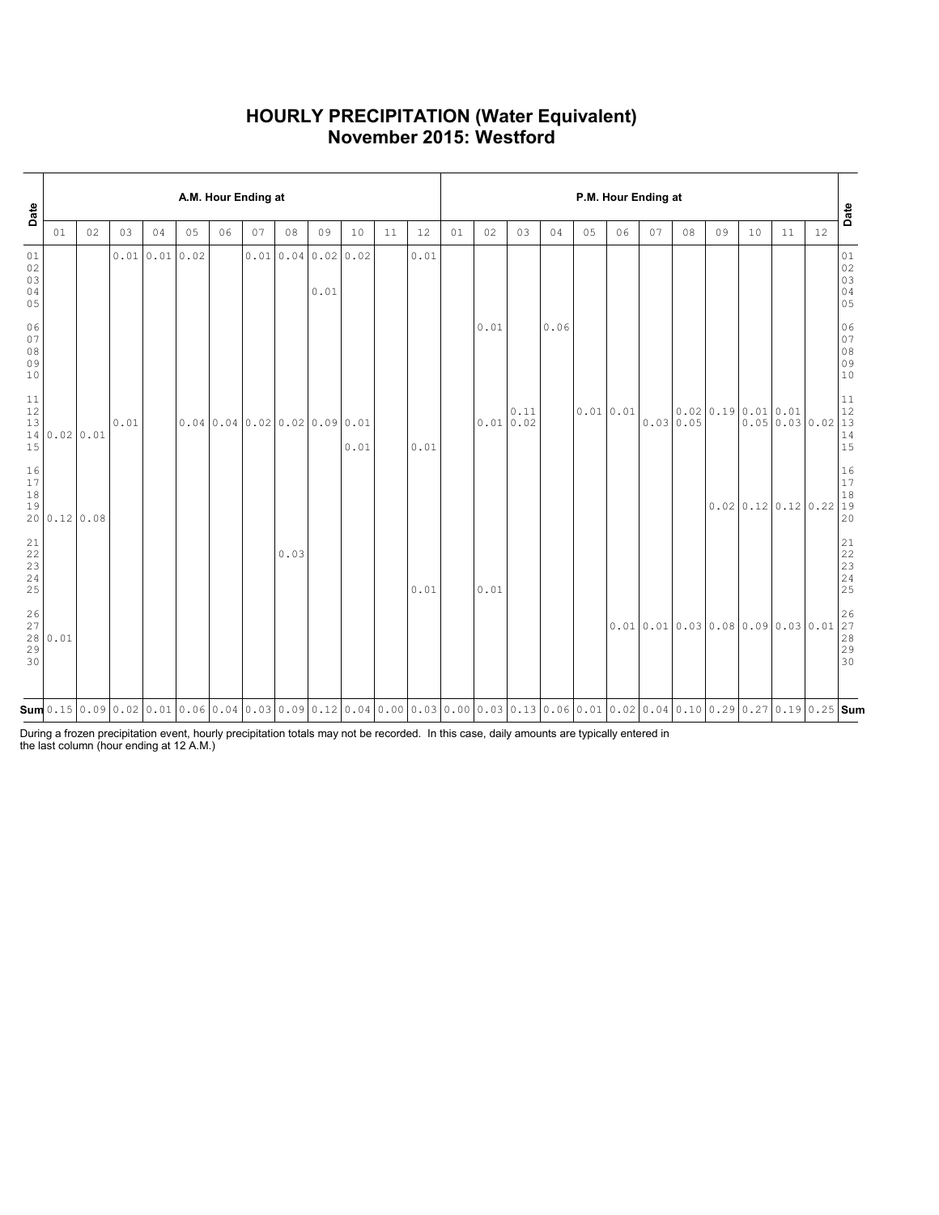# **HOURLY PRECIPITATION (Water Equivalent) November 2015: Westford**

| Date                                    |              | A.M. Hour Ending at |      |              |    |                          |    |      |                          |      |    |      |    |                                                                                                                                                      |      |      |          | P.M. Hour Ending at |    |           |                              |    |                  |                  | Date                                                           |
|-----------------------------------------|--------------|---------------------|------|--------------|----|--------------------------|----|------|--------------------------|------|----|------|----|------------------------------------------------------------------------------------------------------------------------------------------------------|------|------|----------|---------------------|----|-----------|------------------------------|----|------------------|------------------|----------------------------------------------------------------|
|                                         | 01           | 02                  | 03   | 04           | 05 | 06                       | 07 | 08   | 09                       | 10   | 11 | 12   | 01 | 02                                                                                                                                                   | 03   | 04   | 05       | 06                  | 07 | 08        | 09                           | 10 | 11               | 12               |                                                                |
| 01<br>$02$<br>03<br>04<br>05            |              |                     |      | 0.010.010.02 |    |                          |    |      | 0.010.040.020.02<br>0.01 |      |    | 0.01 |    |                                                                                                                                                      |      |      |          |                     |    |           |                              |    |                  |                  | 01<br>02<br>03<br>04<br>05                                     |
| 06<br>07<br>$08$<br>09<br>10            |              |                     |      |              |    |                          |    |      |                          |      |    |      |    | 0.01                                                                                                                                                 |      | 0.06 |          |                     |    |           |                              |    |                  |                  | 06<br>$\begin{array}{c} 07 \\ 08 \end{array}$<br>09<br>10      |
| $11\,$<br>12<br>13<br>15                | 14 0.02 0.01 |                     | 0.01 |              |    | 0.040.040.020.020.090.01 |    |      |                          | 0.01 |    | 0.01 |    | 0.010.02                                                                                                                                             | 0.11 |      | 0.010.01 |                     |    | 0.0300.05 | 0.0200.190.010.01            |    |                  | 0.0500.0300.0213 | 11<br>$12$<br>14<br>15                                         |
| 16<br>17<br>18<br>19                    |              | 20 0.12 0.08        |      |              |    |                          |    |      |                          |      |    |      |    |                                                                                                                                                      |      |      |          |                     |    |           |                              |    | 0.020.120.120.22 |                  | $\begin{array}{c} 16 \\ 17 \end{array}$<br>$18\,$<br> 19<br>20 |
| 21<br>$\frac{22}{23}$<br>23<br>24<br>25 |              |                     |      |              |    |                          |    | 0.03 |                          |      |    | 0.01 |    | 0.01                                                                                                                                                 |      |      |          |                     |    |           |                              |    |                  |                  | 21<br>22<br>$\begin{array}{c} 23 \\ 24 \end{array}$<br>25      |
| 26<br>27<br>29<br>30                    | 28 0.01      |                     |      |              |    |                          |    |      |                          |      |    |      |    |                                                                                                                                                      |      |      |          |                     |    |           | 0.010.010.030.080.090.030.01 |    |                  |                  | 26<br>$\overline{27}$<br>28<br>29<br>30                        |
|                                         |              |                     |      |              |    |                          |    |      |                          |      |    |      |    | $\mathsf{sum}  0.15 0.09 0.02 0.01 0.06 0.04 0.03 0.09 0.12 0.04 0.00 0.03 0.00 0.03 0.13 0.06 0.01 0.02 0.04 0.10 0.29 0.27 0.19 0.25 \mathbf{Sum}$ |      |      |          |                     |    |           |                              |    |                  |                  |                                                                |

During a frozen precipitation event, hourly precipitation totals may not be recorded. In this case, daily amounts are typically entered in the last column (hour ending at 12 A.M.)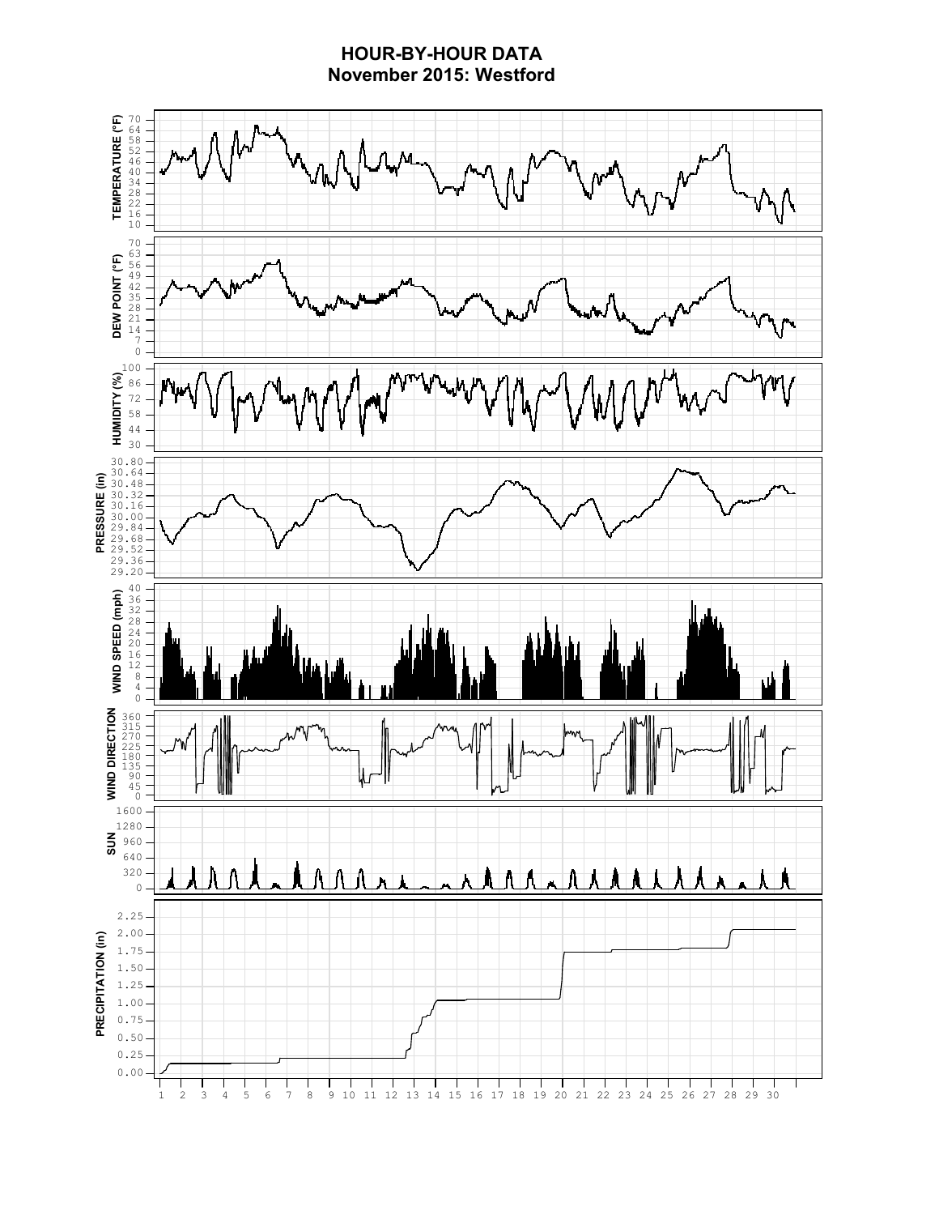# **HOUR-BY-HOUR DATA November 2015: Westford**